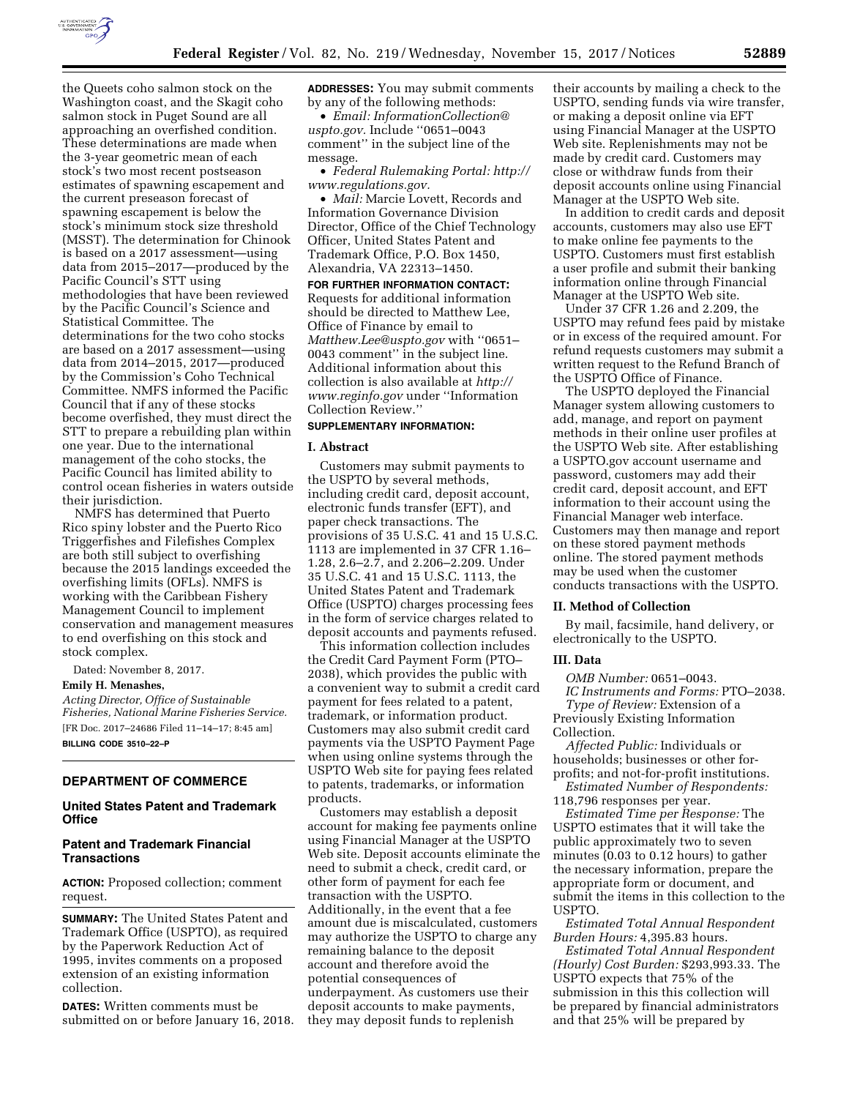

the Queets coho salmon stock on the Washington coast, and the Skagit coho salmon stock in Puget Sound are all approaching an overfished condition. These determinations are made when the 3-year geometric mean of each stock's two most recent postseason estimates of spawning escapement and the current preseason forecast of spawning escapement is below the stock's minimum stock size threshold (MSST). The determination for Chinook is based on a 2017 assessment—using data from 2015–2017—produced by the Pacific Council's STT using methodologies that have been reviewed by the Pacific Council's Science and Statistical Committee. The determinations for the two coho stocks are based on a 2017 assessment—using data from 2014–2015, 2017—produced by the Commission's Coho Technical Committee. NMFS informed the Pacific Council that if any of these stocks become overfished, they must direct the STT to prepare a rebuilding plan within one year. Due to the international management of the coho stocks, the Pacific Council has limited ability to control ocean fisheries in waters outside their jurisdiction.

NMFS has determined that Puerto Rico spiny lobster and the Puerto Rico Triggerfishes and Filefishes Complex are both still subject to overfishing because the 2015 landings exceeded the overfishing limits (OFLs). NMFS is working with the Caribbean Fishery Management Council to implement conservation and management measures to end overfishing on this stock and stock complex.

Dated: November 8, 2017.

## **Emily H. Menashes,**

*Acting Director, Office of Sustainable Fisheries, National Marine Fisheries Service.*  [FR Doc. 2017–24686 Filed 11–14–17; 8:45 am] **BILLING CODE 3510–22–P** 

### **DEPARTMENT OF COMMERCE**

## **United States Patent and Trademark Office**

### **Patent and Trademark Financial Transactions**

**ACTION:** Proposed collection; comment request.

**SUMMARY:** The United States Patent and Trademark Office (USPTO), as required by the Paperwork Reduction Act of 1995, invites comments on a proposed extension of an existing information collection.

**DATES:** Written comments must be submitted on or before January 16, 2018. **ADDRESSES:** You may submit comments by any of the following methods:

• *Email: [InformationCollection@](mailto:InformationCollection@uspto.gov) [uspto.gov.](mailto:InformationCollection@uspto.gov)* Include ''0651–0043 comment'' in the subject line of the message.

• *Federal Rulemaking Portal: [http://](http://www.regulations.gov) [www.regulations.gov.](http://www.regulations.gov)* 

• *Mail:* Marcie Lovett, Records and Information Governance Division Director, Office of the Chief Technology Officer, United States Patent and Trademark Office, P.O. Box 1450, Alexandria, VA 22313–1450.

**FOR FURTHER INFORMATION CONTACT:**  Requests for additional information should be directed to Matthew Lee, Office of Finance by email to *[Matthew.Lee@uspto.gov](mailto:Matthew.Lee@uspto.gov)* with ''0651– 0043 comment'' in the subject line. Additional information about this collection is also available at *[http://](http://www.reginfo.gov) [www.reginfo.gov](http://www.reginfo.gov)* under ''Information Collection Review.''

# **SUPPLEMENTARY INFORMATION:**

### **I. Abstract**

Customers may submit payments to the USPTO by several methods, including credit card, deposit account, electronic funds transfer (EFT), and paper check transactions. The provisions of 35 U.S.C. 41 and 15 U.S.C. 1113 are implemented in 37 CFR 1.16– 1.28, 2.6–2.7, and 2.206–2.209. Under 35 U.S.C. 41 and 15 U.S.C. 1113, the United States Patent and Trademark Office (USPTO) charges processing fees in the form of service charges related to deposit accounts and payments refused.

This information collection includes the Credit Card Payment Form (PTO– 2038), which provides the public with a convenient way to submit a credit card payment for fees related to a patent, trademark, or information product. Customers may also submit credit card payments via the USPTO Payment Page when using online systems through the USPTO Web site for paying fees related to patents, trademarks, or information products.

Customers may establish a deposit account for making fee payments online using Financial Manager at the USPTO Web site. Deposit accounts eliminate the need to submit a check, credit card, or other form of payment for each fee transaction with the USPTO. Additionally, in the event that a fee amount due is miscalculated, customers may authorize the USPTO to charge any remaining balance to the deposit account and therefore avoid the potential consequences of underpayment. As customers use their deposit accounts to make payments, they may deposit funds to replenish

their accounts by mailing a check to the USPTO, sending funds via wire transfer, or making a deposit online via EFT using Financial Manager at the USPTO Web site. Replenishments may not be made by credit card. Customers may close or withdraw funds from their deposit accounts online using Financial Manager at the USPTO Web site.

In addition to credit cards and deposit accounts, customers may also use EFT to make online fee payments to the USPTO. Customers must first establish a user profile and submit their banking information online through Financial Manager at the USPTO Web site.

Under 37 CFR 1.26 and 2.209, the USPTO may refund fees paid by mistake or in excess of the required amount. For refund requests customers may submit a written request to the Refund Branch of the USPTO Office of Finance.

The USPTO deployed the Financial Manager system allowing customers to add, manage, and report on payment methods in their online user profiles at the USPTO Web site. After establishing a USPTO.gov account username and password, customers may add their credit card, deposit account, and EFT information to their account using the Financial Manager web interface. Customers may then manage and report on these stored payment methods online. The stored payment methods may be used when the customer conducts transactions with the USPTO.

#### **II. Method of Collection**

By mail, facsimile, hand delivery, or electronically to the USPTO.

#### **III. Data**

*OMB Number:* 0651–0043. *IC Instruments and Forms:* PTO–2038. *Type of Review:* Extension of a Previously Existing Information Collection.

*Affected Public:* Individuals or households; businesses or other forprofits; and not-for-profit institutions.

*Estimated Number of Respondents:*  118,796 responses per year.

*Estimated Time per Response:* The USPTO estimates that it will take the public approximately two to seven minutes (0.03 to 0.12 hours) to gather the necessary information, prepare the appropriate form or document, and submit the items in this collection to the USPTO.

*Estimated Total Annual Respondent Burden Hours:* 4,395.83 hours.

*Estimated Total Annual Respondent (Hourly) Cost Burden:* \$293,993.33. The USPTO expects that 75% of the submission in this this collection will be prepared by financial administrators and that 25% will be prepared by